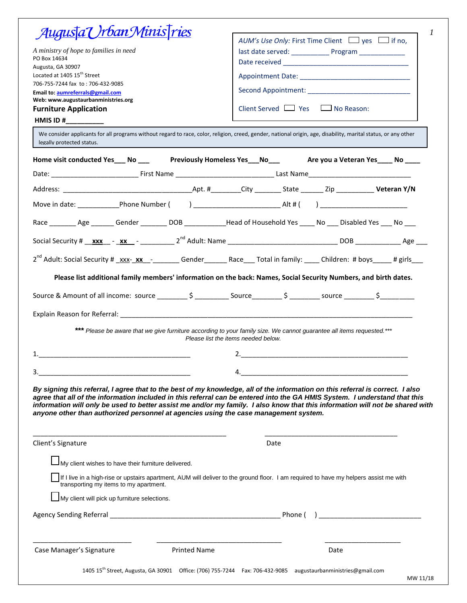| <u>Augusta Urban Ministries</u>                                                                                                                                                                                                                                                                                                                      |                                                                                                                                                              |
|------------------------------------------------------------------------------------------------------------------------------------------------------------------------------------------------------------------------------------------------------------------------------------------------------------------------------------------------------|--------------------------------------------------------------------------------------------------------------------------------------------------------------|
|                                                                                                                                                                                                                                                                                                                                                      | AUM's Use Only: First Time Client $\Box$ yes $\Box$ if no,                                                                                                   |
| A ministry of hope to families in need                                                                                                                                                                                                                                                                                                               |                                                                                                                                                              |
| PO Box 14634<br>Augusta, GA 30907                                                                                                                                                                                                                                                                                                                    |                                                                                                                                                              |
| Located at 1405 15 <sup>th</sup> Street                                                                                                                                                                                                                                                                                                              |                                                                                                                                                              |
| 706-755-7244 fax to: 706-432-9085                                                                                                                                                                                                                                                                                                                    |                                                                                                                                                              |
| Email to: aumreferrals@gmail.com<br>Web: www.augustaurbanministries.org                                                                                                                                                                                                                                                                              |                                                                                                                                                              |
| <b>Furniture Application</b>                                                                                                                                                                                                                                                                                                                         | Client Served $\Box$ Yes $\Box$ No Reason:                                                                                                                   |
| HMIS ID #__________                                                                                                                                                                                                                                                                                                                                  |                                                                                                                                                              |
| We consider applicants for all programs without regard to race, color, religion, creed, gender, national origin, age, disability, marital status, or any other<br>legally protected status.                                                                                                                                                          |                                                                                                                                                              |
| Home visit conducted Yes___ No ____ Previously Homeless Yes___ No____ Are you a Veteran Yes____ No ____                                                                                                                                                                                                                                              |                                                                                                                                                              |
|                                                                                                                                                                                                                                                                                                                                                      |                                                                                                                                                              |
|                                                                                                                                                                                                                                                                                                                                                      |                                                                                                                                                              |
|                                                                                                                                                                                                                                                                                                                                                      |                                                                                                                                                              |
| Race Age Gender DOB Head of Household Yes No Disabled Yes No No                                                                                                                                                                                                                                                                                      |                                                                                                                                                              |
|                                                                                                                                                                                                                                                                                                                                                      |                                                                                                                                                              |
| 2 <sup>nd</sup> Adult: Social Security # xxx- xx - Gender Race Total in family: Children: # boys # girls                                                                                                                                                                                                                                             |                                                                                                                                                              |
|                                                                                                                                                                                                                                                                                                                                                      | Please list additional family members' information on the back: Names, Social Security Numbers, and birth dates.                                             |
|                                                                                                                                                                                                                                                                                                                                                      |                                                                                                                                                              |
|                                                                                                                                                                                                                                                                                                                                                      |                                                                                                                                                              |
|                                                                                                                                                                                                                                                                                                                                                      | *** Please be aware that we give furniture according to your family size. We cannot guarantee all items requested.***<br>Please list the items needed below. |
|                                                                                                                                                                                                                                                                                                                                                      |                                                                                                                                                              |
|                                                                                                                                                                                                                                                                                                                                                      |                                                                                                                                                              |
| 3.                                                                                                                                                                                                                                                                                                                                                   | 4.                                                                                                                                                           |
| By signing this referral, I agree that to the best of my knowledge, all of the information on this referral is correct. I also<br>agree that all of the information included in this referral can be entered into the GA HMIS System. I understand that this<br>anyone other than authorized personnel at agencies using the case management system. | information will only be used to better assist me and/or my family. I also know that this information will not be shared with                                |
| Client's Signature                                                                                                                                                                                                                                                                                                                                   | Date                                                                                                                                                         |
| My client wishes to have their furniture delivered.                                                                                                                                                                                                                                                                                                  |                                                                                                                                                              |
| transporting my items to my apartment.                                                                                                                                                                                                                                                                                                               | If I live in a high-rise or upstairs apartment, AUM will deliver to the ground floor. I am required to have my helpers assist me with                        |
| My client will pick up furniture selections.                                                                                                                                                                                                                                                                                                         |                                                                                                                                                              |
|                                                                                                                                                                                                                                                                                                                                                      |                                                                                                                                                              |
| Case Manager's Signature<br><b>Printed Name</b>                                                                                                                                                                                                                                                                                                      | Date                                                                                                                                                         |
|                                                                                                                                                                                                                                                                                                                                                      | 1405 15 <sup>th</sup> Street, Augusta, GA 30901 Office: (706) 755-7244 Fax: 706-432-9085 augustaurbanministries@gmail.com                                    |